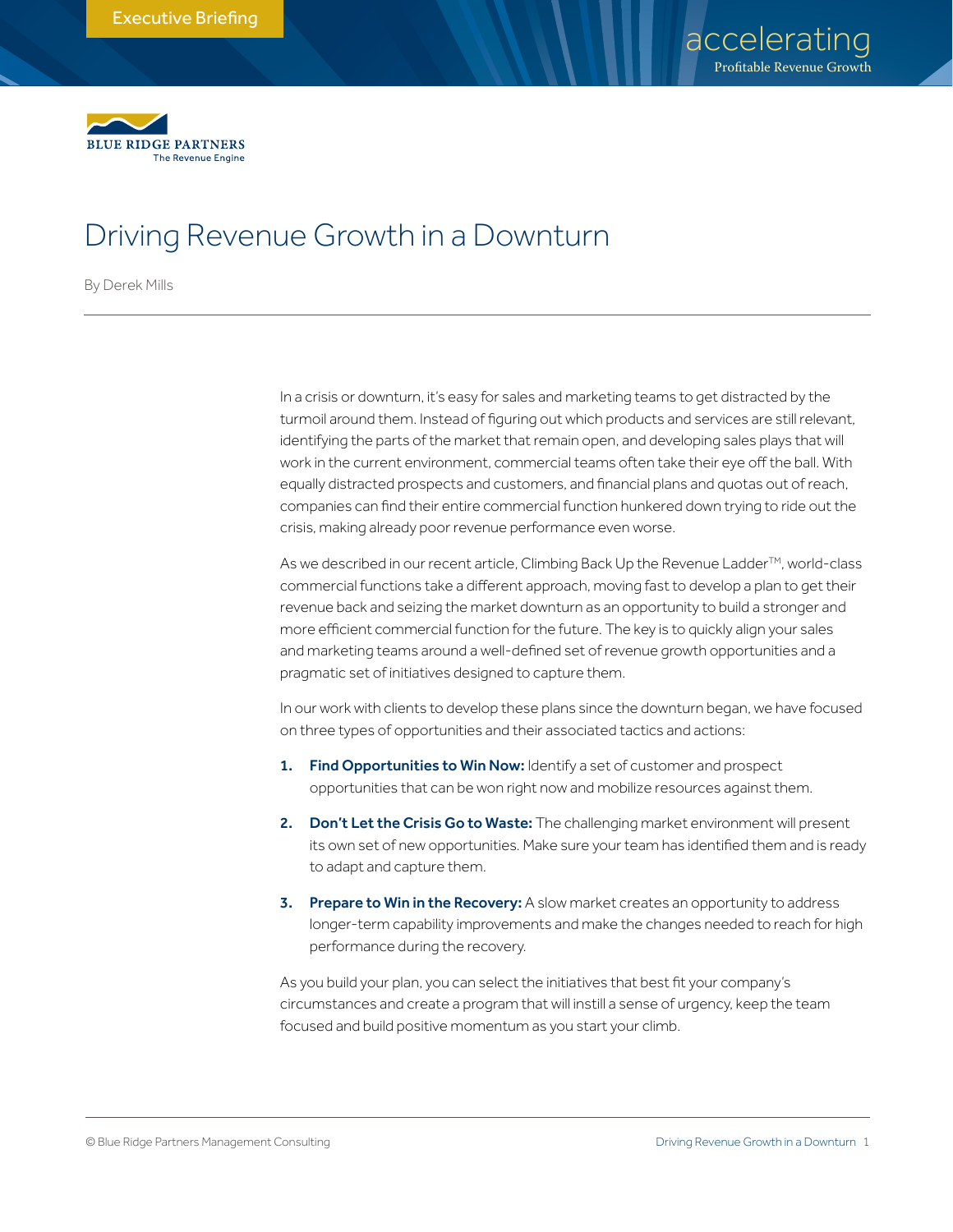

# Driving Revenue Growth in a Downturn

By Derek Mills

In a crisis or downturn, it's easy for sales and marketing teams to get distracted by the turmoil around them. Instead of figuring out which products and services are still relevant, identifying the parts of the market that remain open, and developing sales plays that will work in the current environment, commercial teams often take their eye off the ball. With equally distracted prospects and customers, and financial plans and quotas out of reach, companies can find their entire commercial function hunkered down trying to ride out the crisis, making already poor revenue performance even worse.

As we described in our recent article, Climbing Back Up the Revenue Ladder<sup>™</sup>, world-class commercial functions take a different approach, moving fast to develop a plan to get their revenue back and seizing the market downturn as an opportunity to build a stronger and more efficient commercial function for the future. The key is to quickly align your sales and marketing teams around a well-defined set of revenue growth opportunities and a pragmatic set of initiatives designed to capture them.

In our work with clients to develop these plans since the downturn began, we have focused on three types of opportunities and their associated tactics and actions:

- 1. Find Opportunities to Win Now: Identify a set of customer and prospect opportunities that can be won right now and mobilize resources against them.
- 2. Don't Let the Crisis Go to Waste: The challenging market environment will present its own set of new opportunities. Make sure your team has identified them and is ready to adapt and capture them.
- 3. Prepare to Win in the Recovery: A slow market creates an opportunity to address longer-term capability improvements and make the changes needed to reach for high performance during the recovery.

As you build your plan, you can select the initiatives that best fit your company's circumstances and create a program that will instill a sense of urgency, keep the team focused and build positive momentum as you start your climb.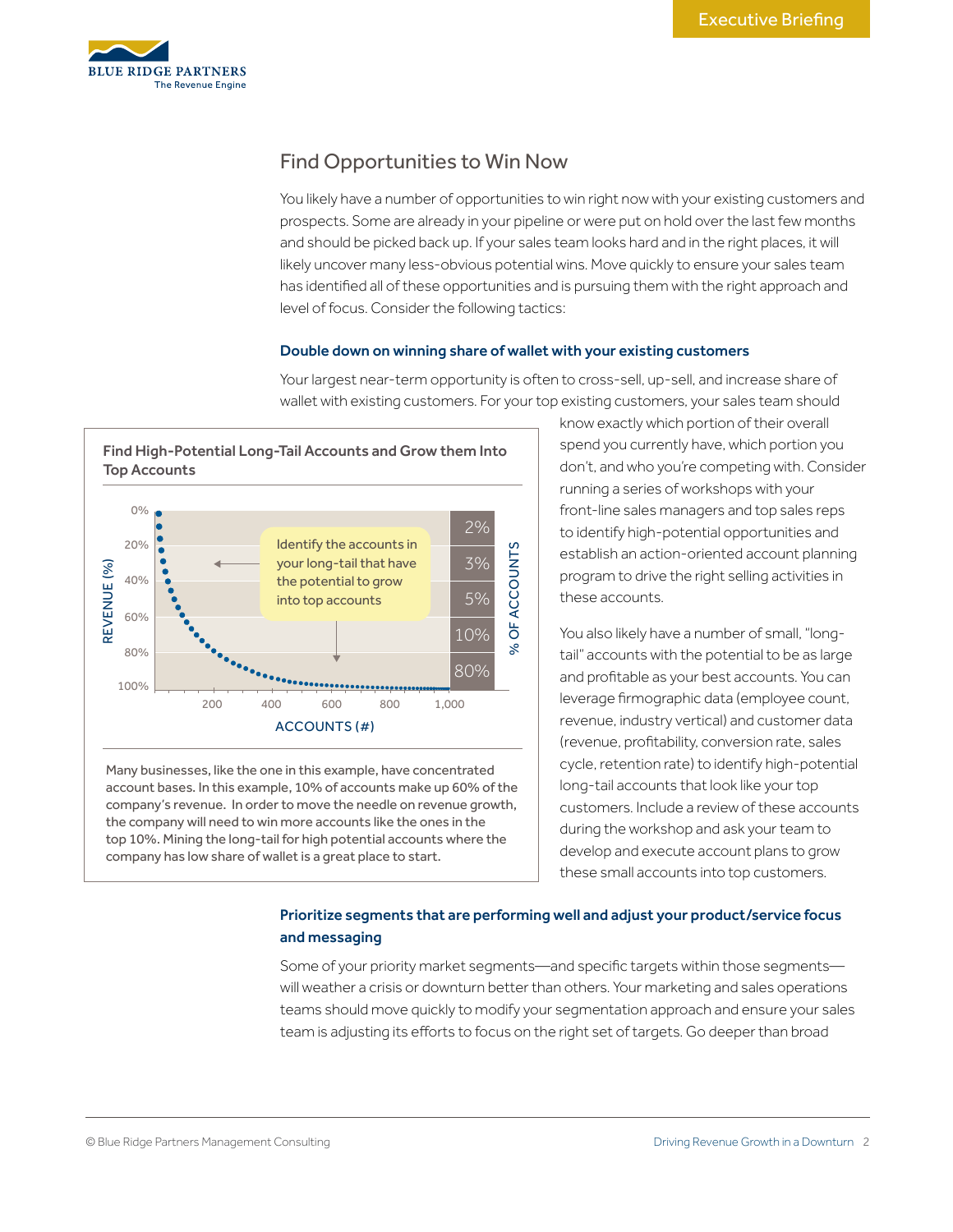

# Find Opportunities to Win Now

You likely have a number of opportunities to win right now with your existing customers and prospects. Some are already in your pipeline or were put on hold over the last few months and should be picked back up. If your sales team looks hard and in the right places, it will likely uncover many less-obvious potential wins. Move quickly to ensure your sales team has identified all of these opportunities and is pursuing them with the right approach and level of focus. Consider the following tactics:

# Double down on winning share of wallet with your existing customers



Many businesses, like the one in this example, have concentrated account bases. In this example, 10% of accounts make up 60% of the company's revenue. In order to move the needle on revenue growth, the company will need to win more accounts like the ones in the top 10%. Mining the long-tail for high potential accounts where the

company has low share of wallet is a great place to start.

Your largest near-term opportunity is often to cross-sell, up-sell, and increase share of wallet with existing customers. For your top existing customers, your sales team should

> know exactly which portion of their overall spend you currently have, which portion you don't, and who you're competing with. Consider running a series of workshops with your front-line sales managers and top sales reps to identify high-potential opportunities and establish an action-oriented account planning program to drive the right selling activities in these accounts.

You also likely have a number of small, "longtail" accounts with the potential to be as large and profitable as your best accounts. You can leverage firmographic data (employee count, revenue, industry vertical) and customer data (revenue, profitability, conversion rate, sales cycle, retention rate) to identify high-potential long-tail accounts that look like your top customers. Include a review of these accounts during the workshop and ask your team to develop and execute account plans to grow these small accounts into top customers.

# Prioritize segments that are performing well and adjust your product/service focus and messaging

Some of your priority market segments—and specific targets within those segments will weather a crisis or downturn better than others. Your marketing and sales operations teams should move quickly to modify your segmentation approach and ensure your sales team is adjusting its efforts to focus on the right set of targets. Go deeper than broad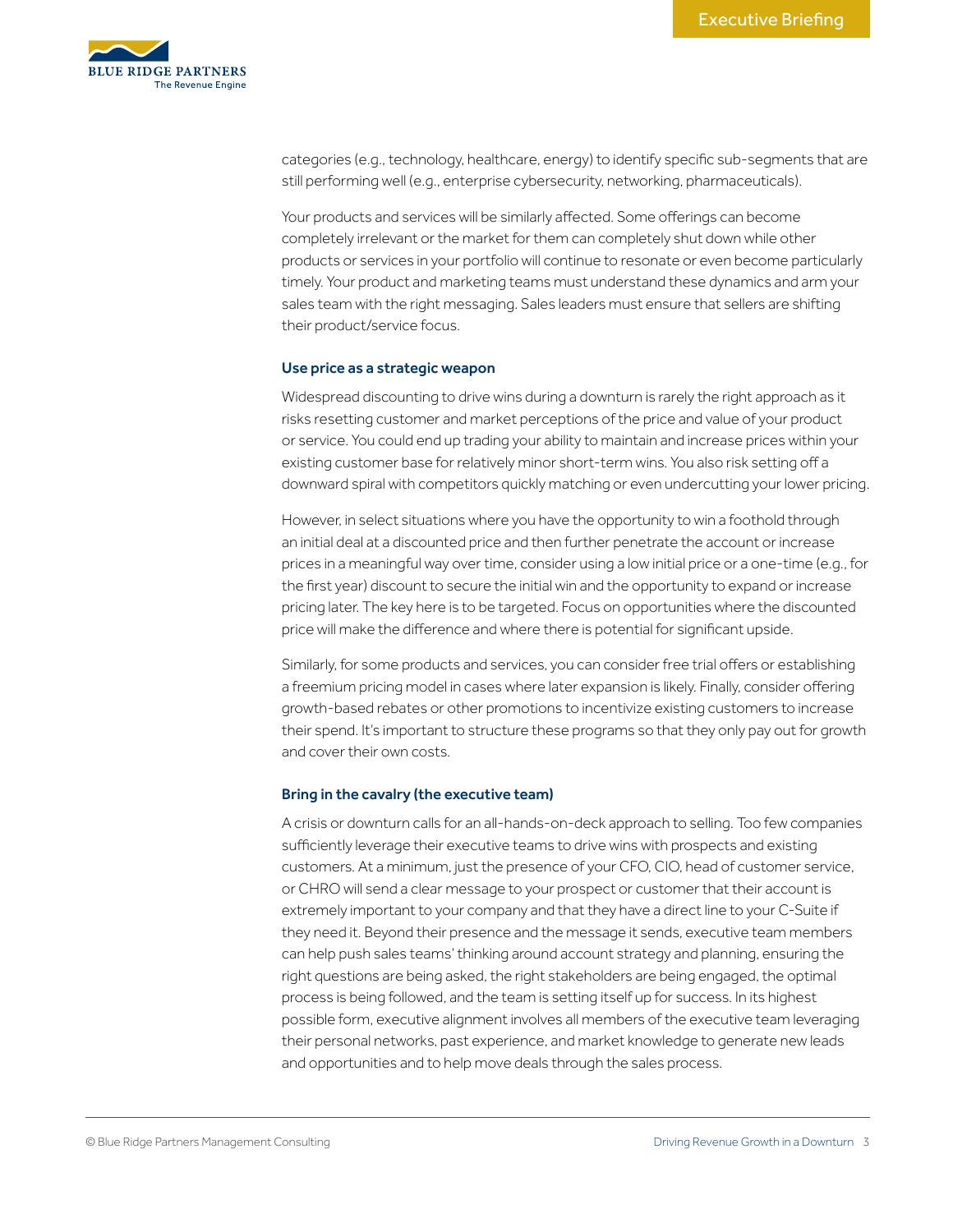

categories (e.g., technology, healthcare, energy) to identify specific sub-segments that are still performing well (e.g., enterprise cybersecurity, networking, pharmaceuticals).

Your products and services will be similarly affected. Some offerings can become completely irrelevant or the market for them can completely shut down while other products or services in your portfolio will continue to resonate or even become particularly timely. Your product and marketing teams must understand these dynamics and arm your sales team with the right messaging. Sales leaders must ensure that sellers are shifting their product/service focus.

### Use price as a strategic weapon

Widespread discounting to drive wins during a downturn is rarely the right approach as it risks resetting customer and market perceptions of the price and value of your product or service. You could end up trading your ability to maintain and increase prices within your existing customer base for relatively minor short-term wins. You also risk setting off a downward spiral with competitors quickly matching or even undercutting your lower pricing.

However, in select situations where you have the opportunity to win a foothold through an initial deal at a discounted price and then further penetrate the account or increase prices in a meaningful way over time, consider using a low initial price or a one-time (e.g., for the first year) discount to secure the initial win and the opportunity to expand or increase pricing later. The key here is to be targeted. Focus on opportunities where the discounted price will make the difference and where there is potential for significant upside.

Similarly, for some products and services, you can consider free trial offers or establishing a freemium pricing model in cases where later expansion is likely. Finally, consider offering growth-based rebates or other promotions to incentivize existing customers to increase their spend. It's important to structure these programs so that they only pay out for growth and cover their own costs.

#### Bring in the cavalry (the executive team)

A crisis or downturn calls for an all-hands-on-deck approach to selling. Too few companies sufficiently leverage their executive teams to drive wins with prospects and existing customers. At a minimum, just the presence of your CFO, CIO, head of customer service, or CHRO will send a clear message to your prospect or customer that their account is extremely important to your company and that they have a direct line to your C-Suite if they need it. Beyond their presence and the message it sends, executive team members can help push sales teams' thinking around account strategy and planning, ensuring the right questions are being asked, the right stakeholders are being engaged, the optimal process is being followed, and the team is setting itself up for success. In its highest possible form, executive alignment involves all members of the executive team leveraging their personal networks, past experience, and market knowledge to generate new leads and opportunities and to help move deals through the sales process.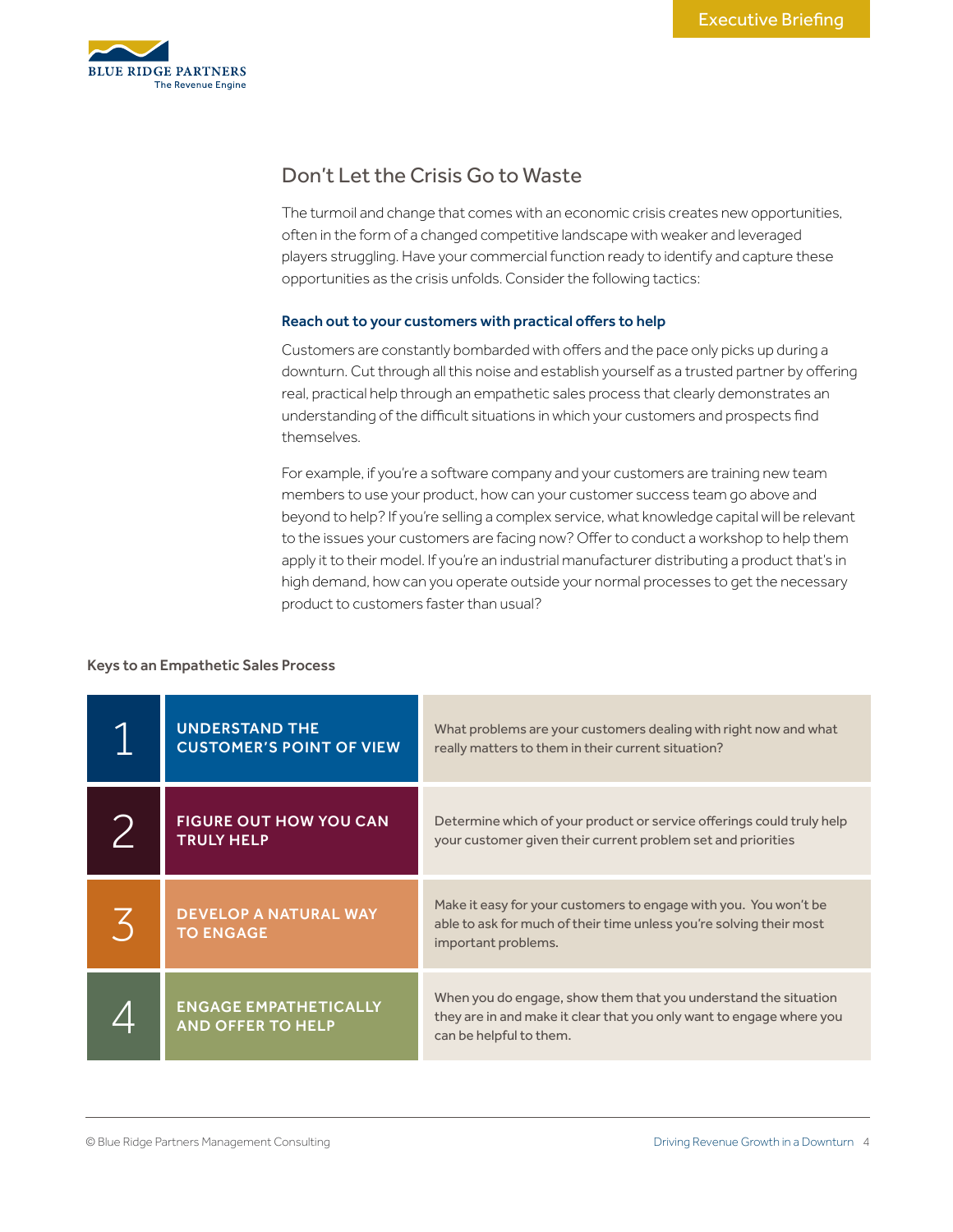

# Don't Let the Crisis Go to Waste

The turmoil and change that comes with an economic crisis creates new opportunities, often in the form of a changed competitive landscape with weaker and leveraged players struggling. Have your commercial function ready to identify and capture these opportunities as the crisis unfolds. Consider the following tactics:

# Reach out to your customers with practical offers to help

Customers are constantly bombarded with offers and the pace only picks up during a downturn. Cut through all this noise and establish yourself as a trusted partner by offering real, practical help through an empathetic sales process that clearly demonstrates an understanding of the difficult situations in which your customers and prospects find themselves.

For example, if you're a software company and your customers are training new team members to use your product, how can your customer success team go above and beyond to help? If you're selling a complex service, what knowledge capital will be relevant to the issues your customers are facing now? Offer to conduct a workshop to help them apply it to their model. If you're an industrial manufacturer distributing a product that's in high demand, how can you operate outside your normal processes to get the necessary product to customers faster than usual?

# Keys to an Empathetic Sales Process

| <b>UNDERSTAND THE</b><br><b>CUSTOMER'S POINT OF VIEW</b> | What problems are your customers dealing with right now and what<br>really matters to them in their current situation?                                             |
|----------------------------------------------------------|--------------------------------------------------------------------------------------------------------------------------------------------------------------------|
| <b>FIGURE OUT HOW YOU CAN</b><br><b>TRULY HELP</b>       | Determine which of your product or service offerings could truly help<br>your customer given their current problem set and priorities                              |
| <b>DEVELOP A NATURAL WAY</b><br><b>TO ENGAGE</b>         | Make it easy for your customers to engage with you. You won't be<br>able to ask for much of their time unless you're solving their most<br>important problems.     |
| <b>ENGAGE EMPATHETICALLY</b><br><b>AND OFFER TO HELP</b> | When you do engage, show them that you understand the situation<br>they are in and make it clear that you only want to engage where you<br>can be helpful to them. |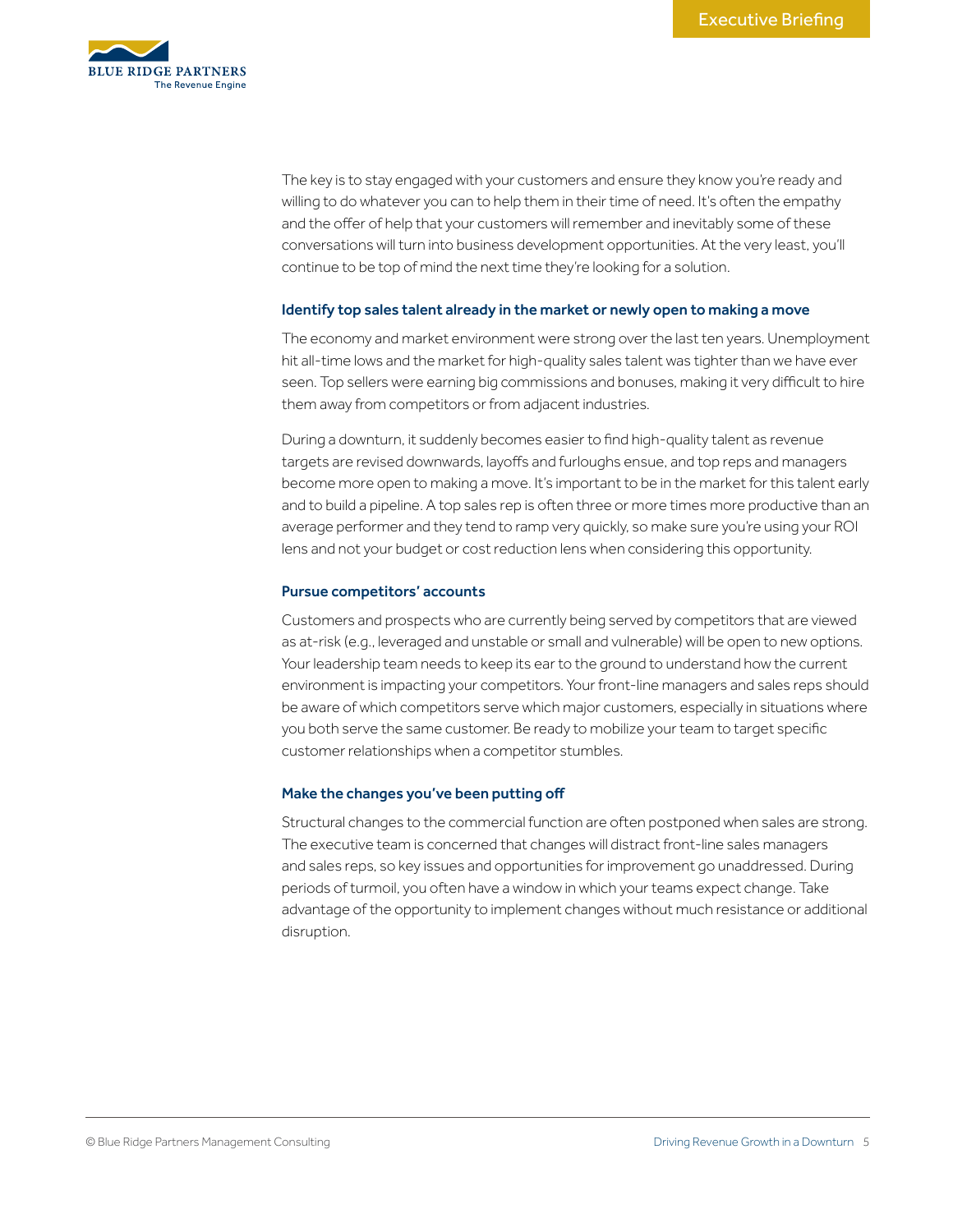

The key is to stay engaged with your customers and ensure they know you're ready and willing to do whatever you can to help them in their time of need. It's often the empathy and the offer of help that your customers will remember and inevitably some of these conversations will turn into business development opportunities. At the very least, you'll continue to be top of mind the next time they're looking for a solution.

### Identify top sales talent already in the market or newly open to making a move

The economy and market environment were strong over the last ten years. Unemployment hit all-time lows and the market for high-quality sales talent was tighter than we have ever seen. Top sellers were earning big commissions and bonuses, making it very difficult to hire them away from competitors or from adjacent industries.

During a downturn, it suddenly becomes easier to find high-quality talent as revenue targets are revised downwards, layoffs and furloughs ensue, and top reps and managers become more open to making a move. It's important to be in the market for this talent early and to build a pipeline. A top sales rep is often three or more times more productive than an average performer and they tend to ramp very quickly, so make sure you're using your ROI lens and not your budget or cost reduction lens when considering this opportunity.

### Pursue competitors' accounts

Customers and prospects who are currently being served by competitors that are viewed as at-risk (e.g., leveraged and unstable or small and vulnerable) will be open to new options. Your leadership team needs to keep its ear to the ground to understand how the current environment is impacting your competitors. Your front-line managers and sales reps should be aware of which competitors serve which major customers, especially in situations where you both serve the same customer. Be ready to mobilize your team to target specific customer relationships when a competitor stumbles.

# Make the changes you've been putting off

Structural changes to the commercial function are often postponed when sales are strong. The executive team is concerned that changes will distract front-line sales managers and sales reps, so key issues and opportunities for improvement go unaddressed. During periods of turmoil, you often have a window in which your teams expect change. Take advantage of the opportunity to implement changes without much resistance or additional disruption.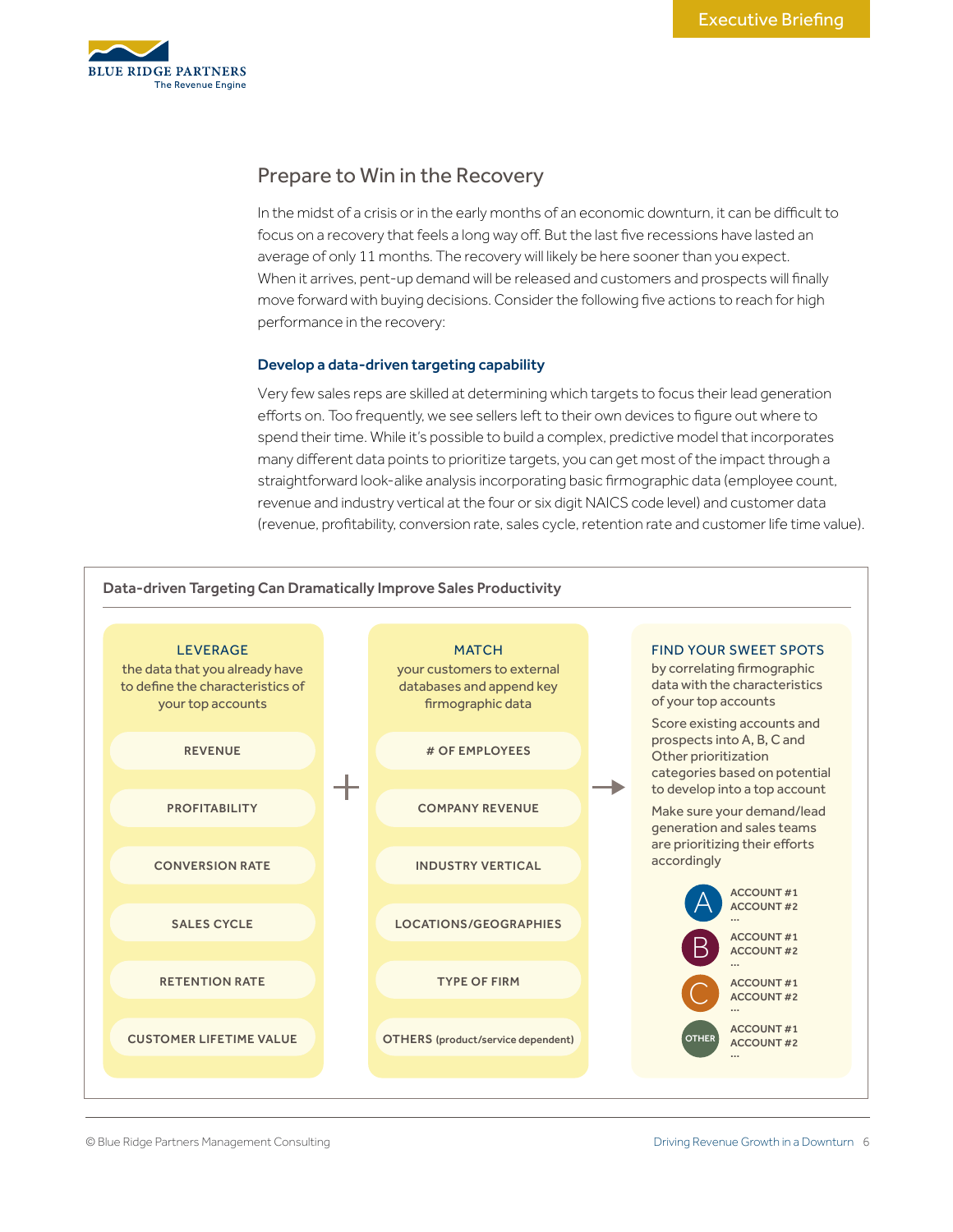

# Prepare to Win in the Recovery

In the midst of a crisis or in the early months of an economic downturn, it can be difficult to focus on a recovery that feels a long way off. But the last five recessions have lasted an average of only 11 months. The recovery will likely be here sooner than you expect. When it arrives, pent-up demand will be released and customers and prospects will finally move forward with buying decisions. Consider the following five actions to reach for high performance in the recovery:

# Develop a data-driven targeting capability

Very few sales reps are skilled at determining which targets to focus their lead generation efforts on. Too frequently, we see sellers left to their own devices to figure out where to spend their time. While it's possible to build a complex, predictive model that incorporates many different data points to prioritize targets, you can get most of the impact through a straightforward look-alike analysis incorporating basic firmographic data (employee count, revenue and industry vertical at the four or six digit NAICS code level) and customer data (revenue, profitability, conversion rate, sales cycle, retention rate and customer life time value).

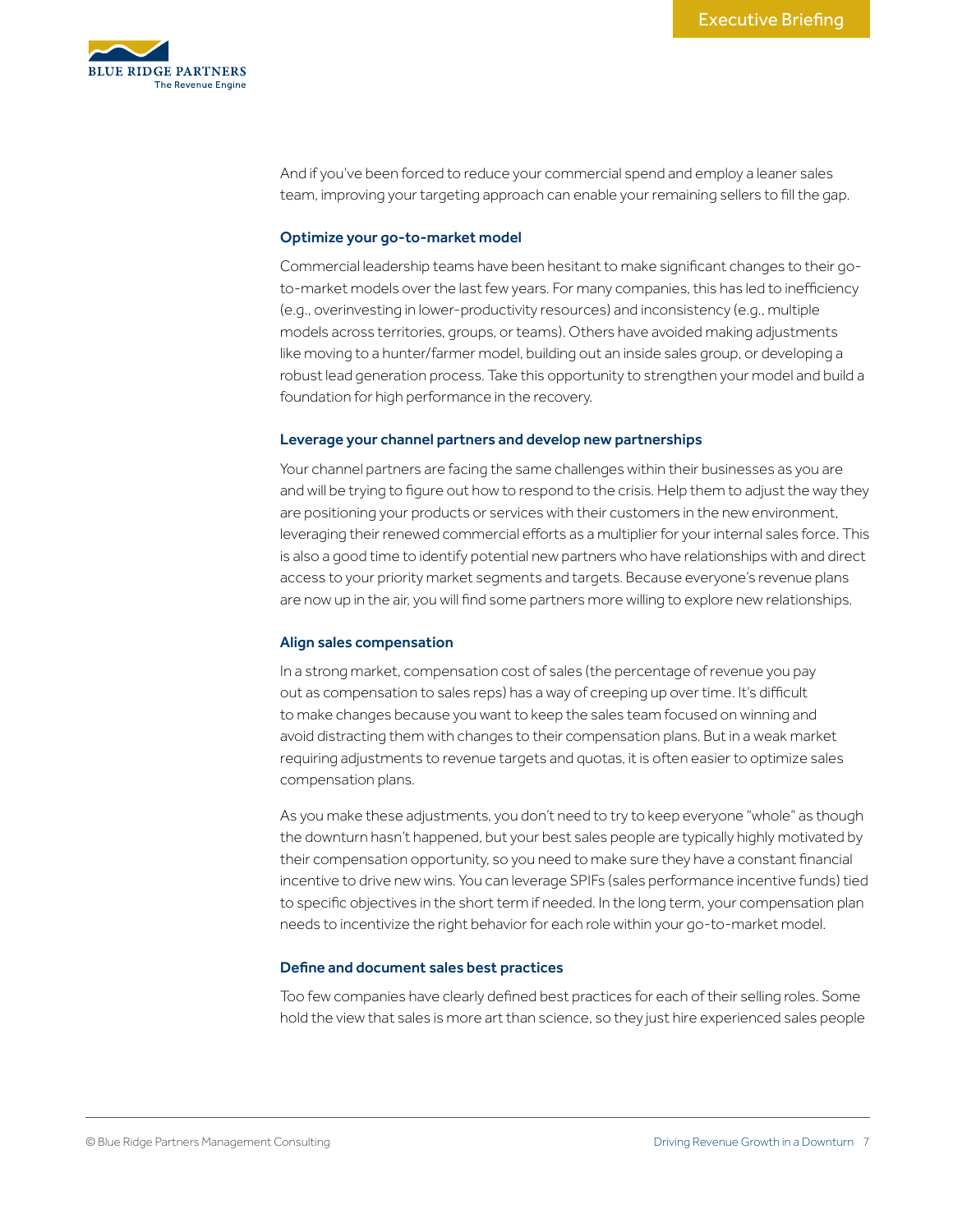

And if you've been forced to reduce your commercial spend and employ a leaner sales team, improving your targeting approach can enable your remaining sellers to fill the gap.

### Optimize your go-to-market model

Commercial leadership teams have been hesitant to make significant changes to their goto-market models over the last few years. For many companies, this has led to inefficiency (e.g., overinvesting in lower-productivity resources) and inconsistency (e.g., multiple models across territories, groups, or teams). Others have avoided making adjustments like moving to a hunter/farmer model, building out an inside sales group, or developing a robust lead generation process. Take this opportunity to strengthen your model and build a foundation for high performance in the recovery.

#### Leverage your channel partners and develop new partnerships

Your channel partners are facing the same challenges within their businesses as you are and will be trying to figure out how to respond to the crisis. Help them to adjust the way they are positioning your products or services with their customers in the new environment, leveraging their renewed commercial efforts as a multiplier for your internal sales force. This is also a good time to identify potential new partners who have relationships with and direct access to your priority market segments and targets. Because everyone's revenue plans are now up in the air, you will find some partners more willing to explore new relationships.

#### Align sales compensation

In a strong market, compensation cost of sales (the percentage of revenue you pay out as compensation to sales reps) has a way of creeping up over time. It's difficult to make changes because you want to keep the sales team focused on winning and avoid distracting them with changes to their compensation plans. But in a weak market requiring adjustments to revenue targets and quotas, it is often easier to optimize sales compensation plans.

As you make these adjustments, you don't need to try to keep everyone "whole" as though the downturn hasn't happened, but your best sales people are typically highly motivated by their compensation opportunity, so you need to make sure they have a constant financial incentive to drive new wins. You can leverage SPIFs (sales performance incentive funds) tied to specific objectives in the short term if needed. In the long term, your compensation plan needs to incentivize the right behavior for each role within your go-to-market model.

# Define and document sales best practices

Too few companies have clearly defined best practices for each of their selling roles. Some hold the view that sales is more art than science, so they just hire experienced sales people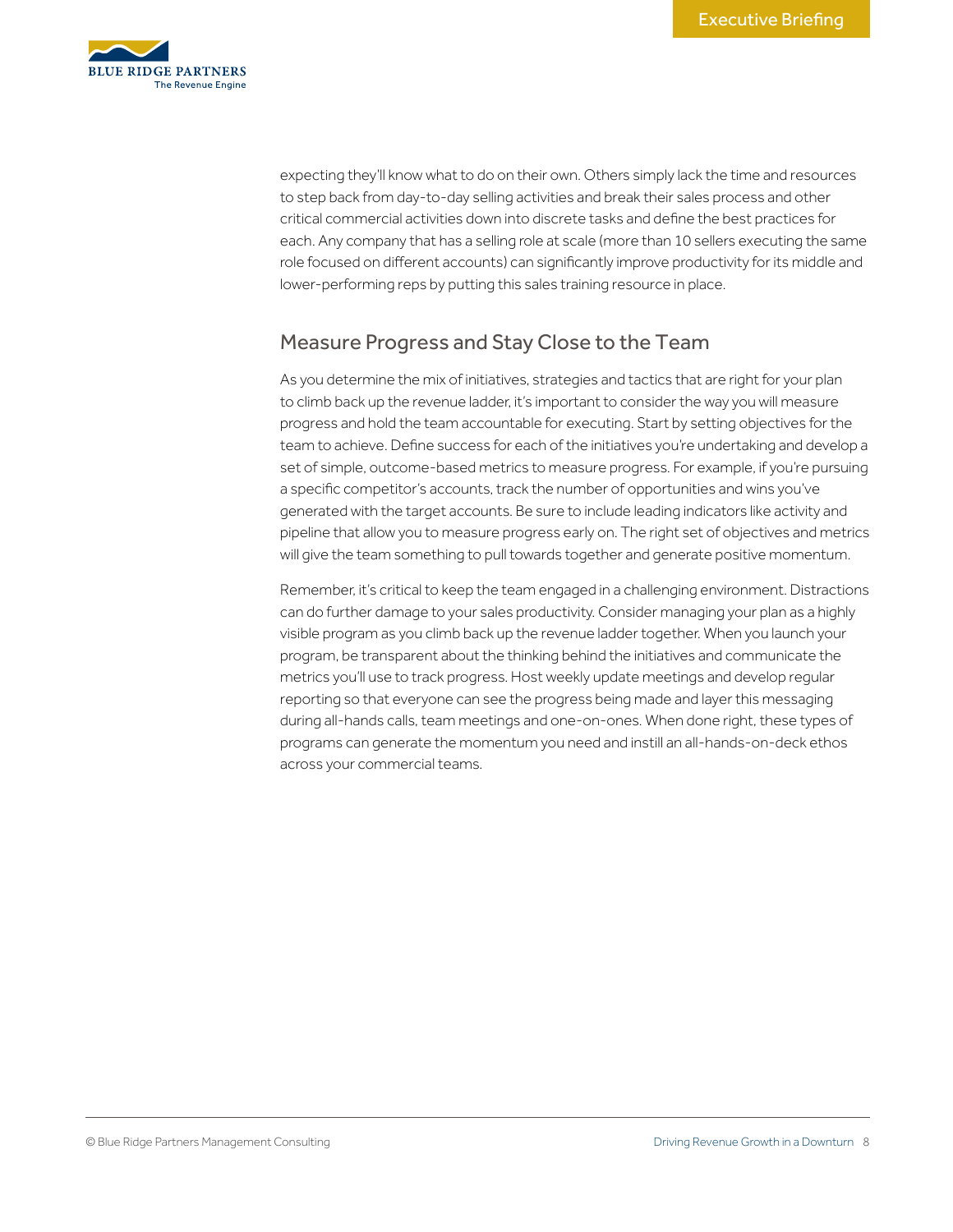

expecting they'll know what to do on their own. Others simply lack the time and resources to step back from day-to-day selling activities and break their sales process and other critical commercial activities down into discrete tasks and define the best practices for each. Any company that has a selling role at scale (more than 10 sellers executing the same role focused on different accounts) can significantly improve productivity for its middle and lower-performing reps by putting this sales training resource in place.

# Measure Progress and Stay Close to the Team

As you determine the mix of initiatives, strategies and tactics that are right for your plan to climb back up the revenue ladder, it's important to consider the way you will measure progress and hold the team accountable for executing. Start by setting objectives for the team to achieve. Define success for each of the initiatives you're undertaking and develop a set of simple, outcome-based metrics to measure progress. For example, if you're pursuing a specific competitor's accounts, track the number of opportunities and wins you've generated with the target accounts. Be sure to include leading indicators like activity and pipeline that allow you to measure progress early on. The right set of objectives and metrics will give the team something to pull towards together and generate positive momentum.

Remember, it's critical to keep the team engaged in a challenging environment. Distractions can do further damage to your sales productivity. Consider managing your plan as a highly visible program as you climb back up the revenue ladder together. When you launch your program, be transparent about the thinking behind the initiatives and communicate the metrics you'll use to track progress. Host weekly update meetings and develop regular reporting so that everyone can see the progress being made and layer this messaging during all-hands calls, team meetings and one-on-ones. When done right, these types of programs can generate the momentum you need and instill an all-hands-on-deck ethos across your commercial teams.